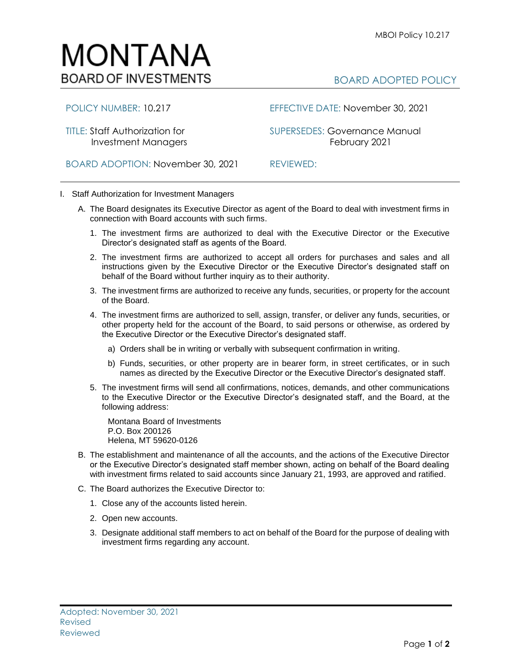## MONTANA **BOARD OF INVESTMENTS**

## BOARD ADOPTED POLICY

POLICY NUMBER: 10.217 EFFECTIVE DATE: November 30, 2021

TITLE: Staff Authorization for SUPERSEDES: Governance Manual Investment Managers **February 2021** 

BOARD ADOPTION: November 30, 2021 REVIEWED:

- 
- I. Staff Authorization for Investment Managers
	- A. The Board designates its Executive Director as agent of the Board to deal with investment firms in connection with Board accounts with such firms.
		- 1. The investment firms are authorized to deal with the Executive Director or the Executive Director's designated staff as agents of the Board.
		- 2. The investment firms are authorized to accept all orders for purchases and sales and all instructions given by the Executive Director or the Executive Director's designated staff on behalf of the Board without further inquiry as to their authority.
		- 3. The investment firms are authorized to receive any funds, securities, or property for the account of the Board.
		- 4. The investment firms are authorized to sell, assign, transfer, or deliver any funds, securities, or other property held for the account of the Board, to said persons or otherwise, as ordered by the Executive Director or the Executive Director's designated staff.
			- a) Orders shall be in writing or verbally with subsequent confirmation in writing.
			- b) Funds, securities, or other property are in bearer form, in street certificates, or in such names as directed by the Executive Director or the Executive Director's designated staff.
		- 5. The investment firms will send all confirmations, notices, demands, and other communications to the Executive Director or the Executive Director's designated staff, and the Board, at the following address:

Montana Board of Investments P.O. Box 200126 Helena, MT 59620-0126

- B. The establishment and maintenance of all the accounts, and the actions of the Executive Director or the Executive Director's designated staff member shown, acting on behalf of the Board dealing with investment firms related to said accounts since January 21, 1993, are approved and ratified.
- C. The Board authorizes the Executive Director to:
	- 1. Close any of the accounts listed herein.
	- 2. Open new accounts.
	- 3. Designate additional staff members to act on behalf of the Board for the purpose of dealing with investment firms regarding any account.